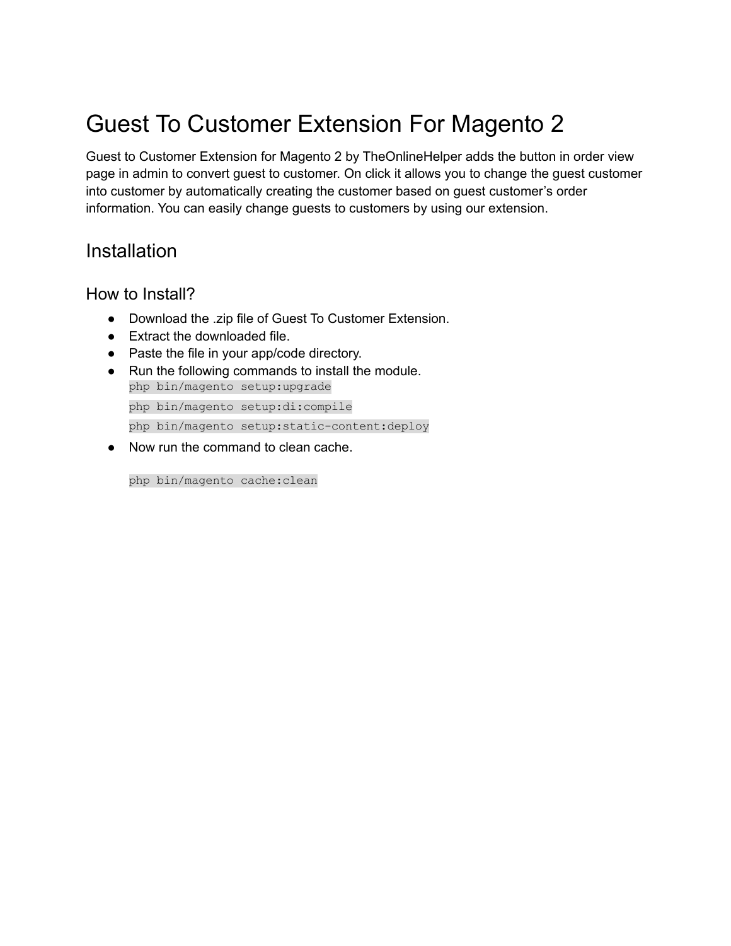# Guest To Customer Extension For Magento 2

Guest to Customer Extension for Magento 2 by TheOnlineHelper adds the button in order view page in admin to convert guest to customer. On click it allows you to change the guest customer into customer by automatically creating the customer based on guest customer's order information. You can easily change guests to customers by using our extension.

## Installation

How to Install?

- Download the .zip file of Guest To Customer Extension.
- Extract the downloaded file.
- Paste the file in your app/code directory.
- Run the following commands to install the module. php bin/magento setup:upgrade php bin/magento setup:di:compile php bin/magento setup:static-content:deploy
- Now run the command to clean cache.

php bin/magento cache:clean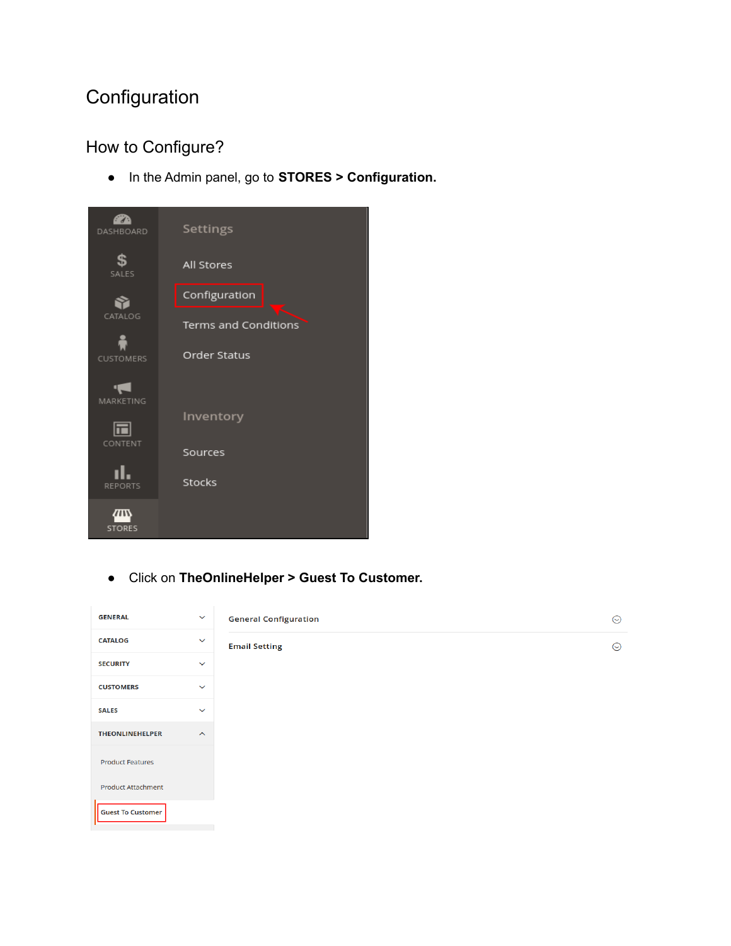## **Configuration**

## How to Configure?

● In the Admin panel, go to **STORES > Configuration.**



● Click on **TheOnlineHelper > Guest To Customer.**

| <b>GENERAL</b>            | $\checkmark$            | <b>General Configuration</b> | $\odot$ |
|---------------------------|-------------------------|------------------------------|---------|
| <b>CATALOG</b>            | $\checkmark$            | <b>Email Setting</b>         | $\odot$ |
| <b>SECURITY</b>           | $\checkmark$            |                              |         |
| <b>CUSTOMERS</b>          | $\checkmark$            |                              |         |
| <b>SALES</b>              | $\checkmark$            |                              |         |
| <b>THEONLINEHELPER</b>    | $\widehat{\phantom{a}}$ |                              |         |
| <b>Product Features</b>   |                         |                              |         |
| <b>Product Attachment</b> |                         |                              |         |
| <b>Guest To Customer</b>  |                         |                              |         |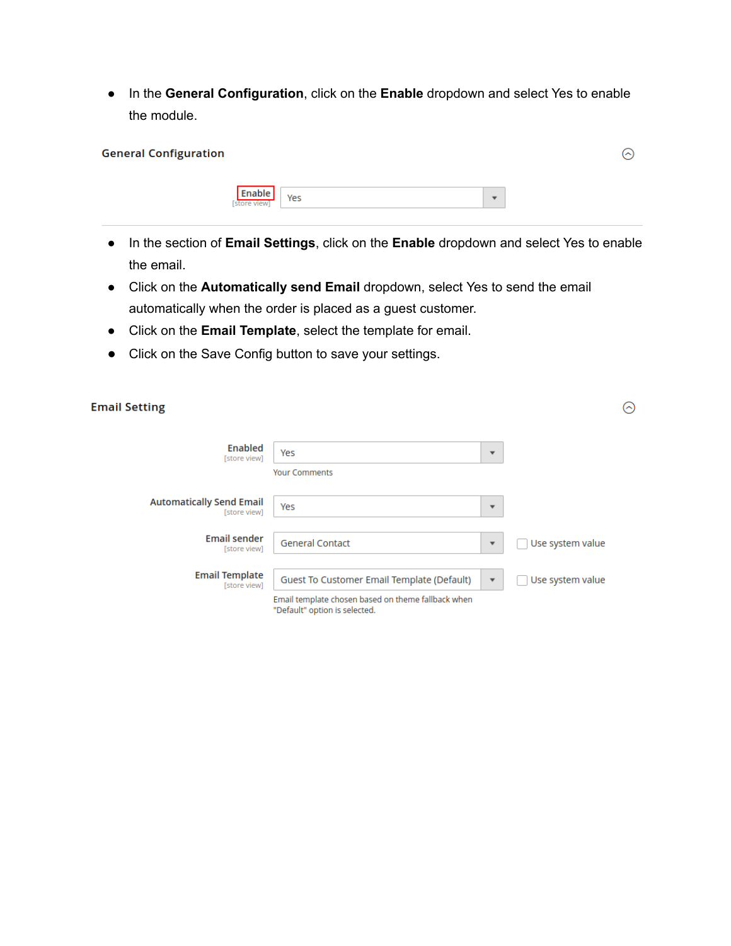● In the **General Configuration**, click on the **Enable** dropdown and select Yes to enable the module.

| <b>General Configuration</b> |                        |     |                          | ⌒ |
|------------------------------|------------------------|-----|--------------------------|---|
|                              | Enable<br>[store view] | Yes | $\overline{\phantom{a}}$ |   |

- In the section of **Email Settings**, click on the **Enable** dropdown and select Yes to enable the email.
- Click on the **Automatically send Email** dropdown, select Yes to send the email automatically when the order is placed as a guest customer.
- Click on the **Email Template**, select the template for email.
- Click on the Save Config button to save your settings.

| <b>Email Setting</b>                            |                                                                                     |                          |                  | $(\frown)$ |
|-------------------------------------------------|-------------------------------------------------------------------------------------|--------------------------|------------------|------------|
| Enabled<br>[store view]                         | Yes                                                                                 | $\overline{\phantom{a}}$ |                  |            |
|                                                 | <b>Your Comments</b>                                                                |                          |                  |            |
| <b>Automatically Send Email</b><br>[store view] | Yes                                                                                 | $\overline{\phantom{a}}$ |                  |            |
| <b>Email sender</b><br>[store view]             | <b>General Contact</b>                                                              | $\overline{\phantom{a}}$ | Use system value |            |
| <b>Email Template</b><br>[store view]           | Guest To Customer Email Template (Default)                                          | $\overline{\mathbf{v}}$  | Use system value |            |
|                                                 | Email template chosen based on theme fallback when<br>"Default" option is selected. |                          |                  |            |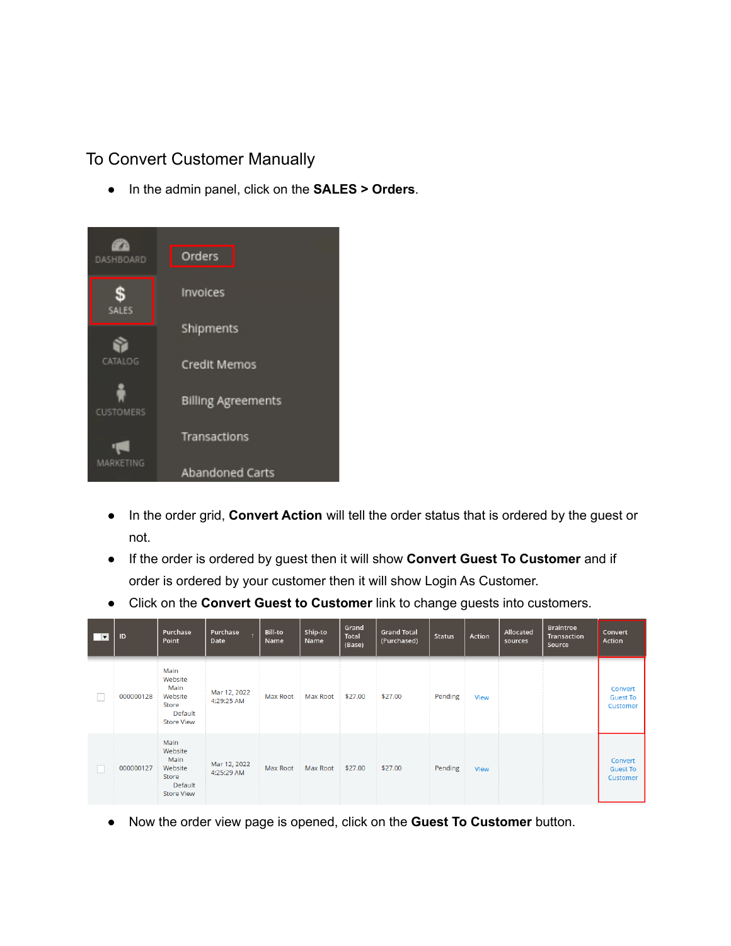#### To Convert Customer Manually

● In the admin panel, click on the **SALES > Orders**.



- In the order grid, **Convert Action** will tell the order status that is ordered by the guest or not.
- If the order is ordered by guest then it will show **Convert Guest To Customer** and if order is ordered by your customer then it will show Login As Customer.
- Click on the **Convert Guest to Customer** link to change guests into customers.

| 1 V | ID        | Purchase<br>Point                                                           | Purchase<br>Date           | Bill-to<br>Name | Ship-to<br>Name | Grand<br><b>Total</b><br>(Base) | <b>Grand Total</b><br>(Purchased) | <b>Status</b> | Action      | Allocated<br>sources | <b>Braintree</b><br><b>Transaction</b><br>Source | Convert<br>Action                      |
|-----|-----------|-----------------------------------------------------------------------------|----------------------------|-----------------|-----------------|---------------------------------|-----------------------------------|---------------|-------------|----------------------|--------------------------------------------------|----------------------------------------|
|     | 000000128 | Main<br>Website<br>Main<br>Website<br>Store<br>Default<br><b>Store View</b> | Mar 12, 2022<br>4:29:25 AM | <b>Max Root</b> | <b>Max Root</b> | \$27.00                         | \$27,00                           | Pending       | View        |                      |                                                  | Convert<br><b>Guest To</b><br>Customer |
|     | 000000127 | Main<br>Website<br>Main<br>Website<br>Store<br>Default<br><b>Store View</b> | Mar 12, 2022<br>4:25:29 AM | <b>Max Root</b> | Max Root        | \$27.00                         | \$27,00                           | Pending       | <b>View</b> |                      |                                                  | Convert<br><b>Guest To</b><br>Customer |

● Now the order view page is opened, click on the **Guest To Customer** button.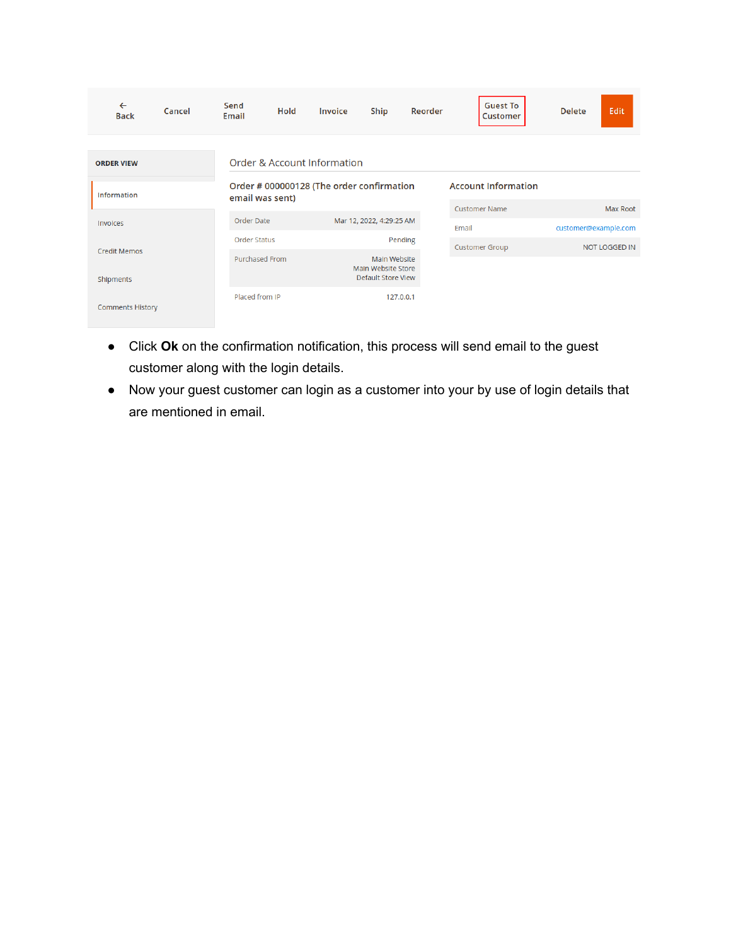| $\leftarrow$<br><b>Back</b> | Cancel | Send<br><b>Email</b> | Hold | <b>Invoice</b>                            | Ship                                                     | Reorder                    | <b>Guest To</b><br><b>Customer</b> | <b>Delete</b>        | Edit                 |
|-----------------------------|--------|----------------------|------|-------------------------------------------|----------------------------------------------------------|----------------------------|------------------------------------|----------------------|----------------------|
|                             |        |                      |      |                                           |                                                          |                            |                                    |                      |                      |
| <b>ORDER VIEW</b>           |        |                      |      | Order & Account Information               |                                                          |                            |                                    |                      |                      |
| <b>Information</b>          |        | email was sent)      |      | Order # 000000128 (The order confirmation |                                                          | <b>Account Information</b> |                                    |                      |                      |
|                             |        |                      |      |                                           |                                                          |                            | <b>Customer Name</b>               |                      | Max Root             |
| Invoices                    |        | Order Date           |      |                                           | Mar 12, 2022, 4:29:25 AM                                 |                            | Email                              | customer@example.com |                      |
| <b>Credit Memos</b>         |        | <b>Order Status</b>  |      |                                           | Pending                                                  |                            | <b>Customer Group</b>              |                      | <b>NOT LOGGED IN</b> |
| Shipments                   |        | Purchased From       |      |                                           | Main Website<br>Main Website Store<br>Default Store View |                            |                                    |                      |                      |
| <b>Comments History</b>     |        | Placed from IP       |      |                                           | 127.0.0.1                                                |                            |                                    |                      |                      |

- Click **Ok** on the confirmation notification, this process will send email to the guest customer along with the login details.
- Now your guest customer can login as a customer into your by use of login details that are mentioned in email.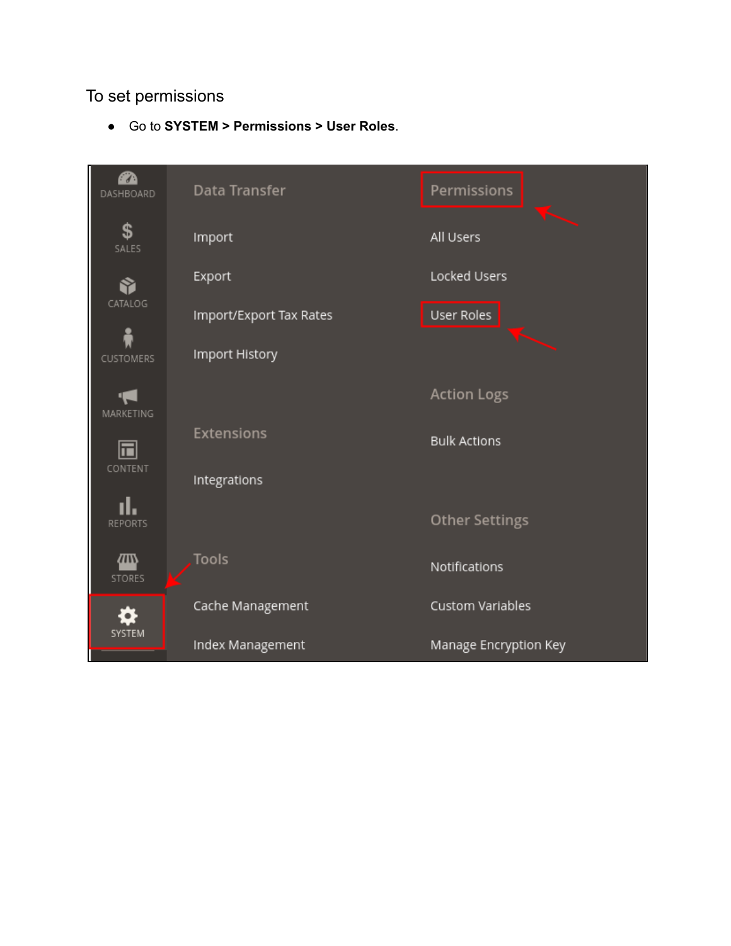#### To set permissions

● Go to **SYSTEM > Permissions > User Roles**.

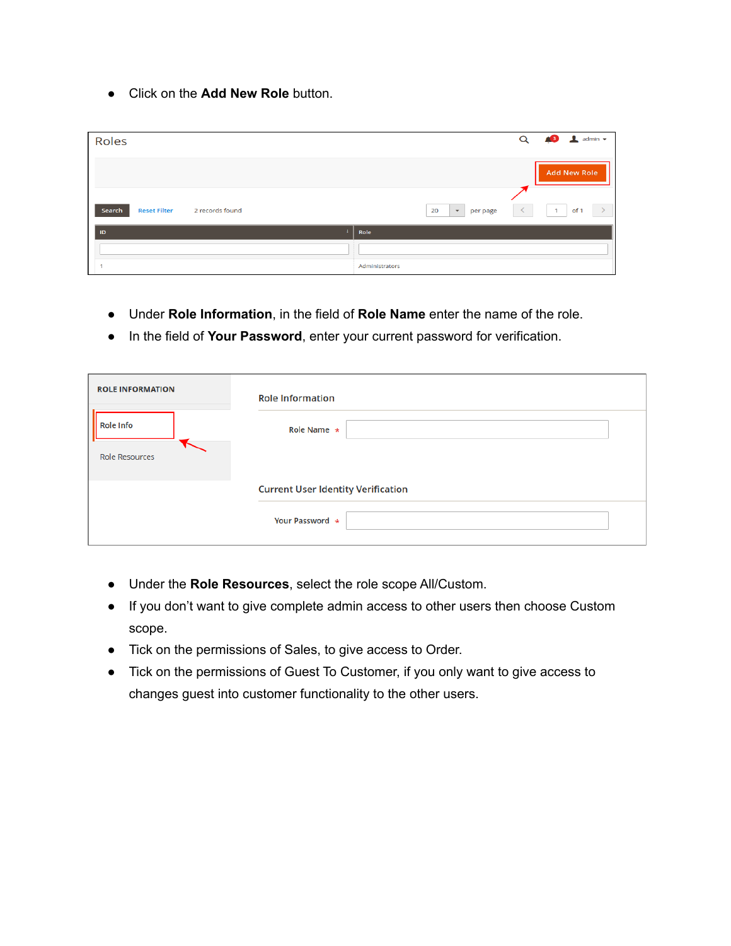● Click on the **Add New Role** button.

| Roles                                            | $Q \qquad 8$ $\qquad$ admin $\sim$                                    |
|--------------------------------------------------|-----------------------------------------------------------------------|
|                                                  | <b>Add New Role</b>                                                   |
| Search<br><b>Reset Filter</b><br>2 records found | $\langle$<br>of 1<br>$\overline{1}$<br>20<br>$\mathbf{v}$<br>per page |
| ID                                               | Role                                                                  |
|                                                  |                                                                       |
|                                                  | Administrators                                                        |

- Under **Role Information**, in the field of **Role Name** enter the name of the role.
- In the field of **Your Password**, enter your current password for verification.

| <b>ROLE INFORMATION</b> | <b>Role Information</b>                   |
|-------------------------|-------------------------------------------|
| <b>Role Info</b>        | Role Name $\star$                         |
| <b>Role Resources</b>   |                                           |
|                         | <b>Current User Identity Verification</b> |
|                         | Your Password *                           |

- Under the **Role Resources**, select the role scope All/Custom.
- If you don't want to give complete admin access to other users then choose Custom scope.
- Tick on the permissions of Sales, to give access to Order.
- Tick on the permissions of Guest To Customer, if you only want to give access to changes guest into customer functionality to the other users.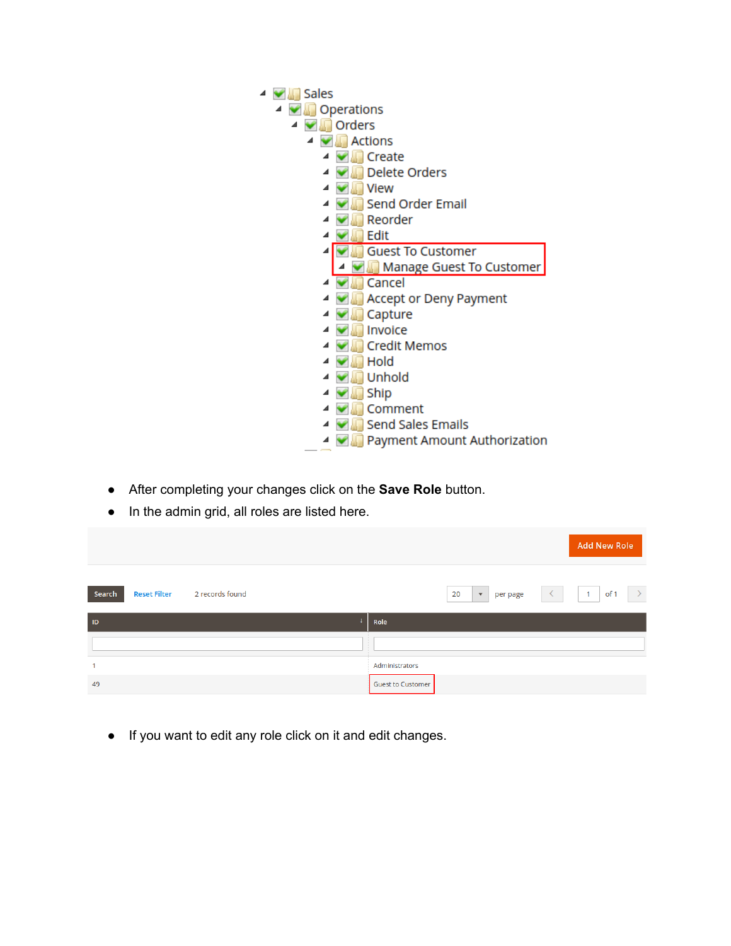- ▲ <del>● Sales</del> ▲ ● Operations ▲ ■ Orders ▲ ● Actions  $\triangleq$   $\blacksquare$  Create ▲ ● Delete Orders ▲ ● Niew 4 Send Order Email ▲ ● Reorder  $\triangleq$   $\blacksquare$  Edit 4 Guest To Customer A Manage Guest To Customer ⊿ **V** Cancel 4 Accept or Deny Payment ▲ **● Capture** 4 Mill Invoice ▲ **● Credit Memos**  $\triangleq$   $\blacksquare$  Hold ▲ ■ Unhold ▲ ■ Ship ▲ ● Comment ▲ ■ Send Sales Emails **4 Devil Payment Amount Authorization**
- After completing your changes click on the **Save Role** button.
- In the admin grid, all roles are listed here.

|                                                  | <b>Add New Role</b>                               |
|--------------------------------------------------|---------------------------------------------------|
| Search<br><b>Reset Filter</b><br>2 records found | of 1<br>20<br>$\mathbf{v}$<br>$\prec$<br>per page |
| $\mathsf{ID}$                                    | Role                                              |
|                                                  |                                                   |
| 1                                                | Administrators                                    |
| 49                                               | <b>Guest to Customer</b>                          |

● If you want to edit any role click on it and edit changes.